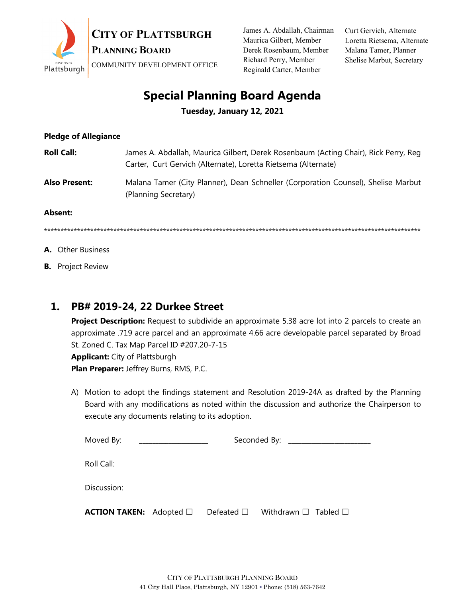

James A. Abdallah, Chairman Maurica Gilbert, Member Derek Rosenbaum, Member Richard Perry, Member Reginald Carter, Member

Curt Gervich, Alternate Loretta Rietsema, Alternate Malana Tamer, Planner Shelise Marbut, Secretary

## **Special Planning Board Agenda**

**Tuesday, January 12, 2021**

| <b>Pledge of Allegiance</b> |                                                                                                                                                       |
|-----------------------------|-------------------------------------------------------------------------------------------------------------------------------------------------------|
| <b>Roll Call:</b>           | James A. Abdallah, Maurica Gilbert, Derek Rosenbaum (Acting Chair), Rick Perry, Reg<br>Carter, Curt Gervich (Alternate), Loretta Rietsema (Alternate) |
| <b>Also Present:</b>        | Malana Tamer (City Planner), Dean Schneller (Corporation Counsel), Shelise Marbut<br>(Planning Secretary)                                             |
| Absent:                     |                                                                                                                                                       |
|                             |                                                                                                                                                       |

- **A.** Other Business
- **B.** Project Review

## **1. PB# 2019-24, 22 Durkee Street**

**Project Description:** Request to subdivide an approximate 5.38 acre lot into 2 parcels to create an approximate .719 acre parcel and an approximate 4.66 acre developable parcel separated by Broad St. Zoned C. Tax Map Parcel ID #207.20-7-15 **Applicant:** City of Plattsburgh **Plan Preparer:** Jeffrey Burns, RMS, P.C.

A) Motion to adopt the findings statement and Resolution 2019-24A as drafted by the Planning Board with any modifications as noted within the discussion and authorize the Chairperson to execute any documents relating to its adoption.

| Moved By:                           |  | Seconded By: _________                                  |  |
|-------------------------------------|--|---------------------------------------------------------|--|
|                                     |  |                                                         |  |
| Roll Call:                          |  |                                                         |  |
|                                     |  |                                                         |  |
| Discussion:                         |  |                                                         |  |
| <b>ACTION TAKEN:</b> Adopted $\Box$ |  | Defeated $\square$ Withdrawn $\square$ Tabled $\square$ |  |
|                                     |  |                                                         |  |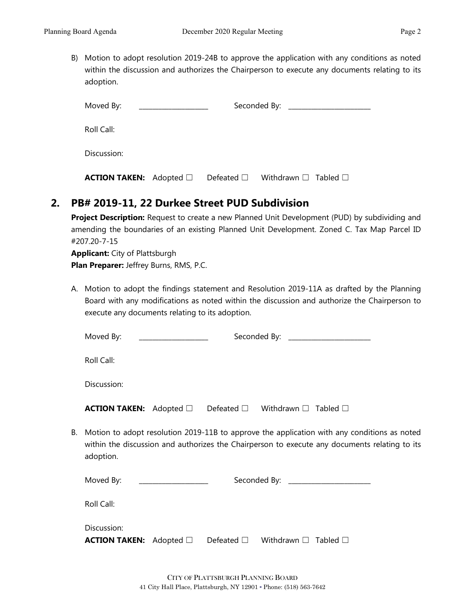B) Motion to adopt resolution 2019-24B to approve the application with any conditions as noted within the discussion and authorizes the Chairperson to execute any documents relating to its adoption.

| Moved By:                           | <u> 1980 - John Stein, mars and de Britannich (b. 19</u> |                                                         |  |
|-------------------------------------|----------------------------------------------------------|---------------------------------------------------------|--|
| Roll Call:                          |                                                          |                                                         |  |
| Discussion:                         |                                                          |                                                         |  |
| <b>ACTION TAKEN:</b> Adopted $\Box$ |                                                          | Defeated $\square$ Withdrawn $\square$ Tabled $\square$ |  |

## **2. PB# 2019-11, 22 Durkee Street PUD Subdivision**

**Project Description:** Request to create a new Planned Unit Development (PUD) by subdividing and amending the boundaries of an existing Planned Unit Development. Zoned C. Tax Map Parcel ID #207.20-7-15

**Applicant:** City of Plattsburgh **Plan Preparer:** Jeffrey Burns, RMS, P.C.

A. Motion to adopt the findings statement and Resolution 2019-11A as drafted by the Planning Board with any modifications as noted within the discussion and authorize the Chairperson to execute any documents relating to its adoption.

|    | Moved By:                                                                                                                                                                                                 | Seconded By: _____________________            |  |  |                                   |
|----|-----------------------------------------------------------------------------------------------------------------------------------------------------------------------------------------------------------|-----------------------------------------------|--|--|-----------------------------------|
|    | Roll Call:                                                                                                                                                                                                |                                               |  |  |                                   |
|    | Discussion:                                                                                                                                                                                               |                                               |  |  |                                   |
|    | <b>ACTION TAKEN:</b> Adopted $\Box$ Defeated $\Box$ Withdrawn $\Box$ Tabled $\Box$                                                                                                                        |                                               |  |  |                                   |
| В. | Motion to adopt resolution 2019-11B to approve the application with any conditions as noted<br>within the discussion and authorizes the Chairperson to execute any documents relating to its<br>adoption. |                                               |  |  |                                   |
|    | Moved By:                                                                                                                                                                                                 | <u> 1980 - Andrea Albert III, martin a bh</u> |  |  | Seconded By: ____________________ |
|    | Roll Call:                                                                                                                                                                                                |                                               |  |  |                                   |
|    | Discussion:                                                                                                                                                                                               |                                               |  |  |                                   |